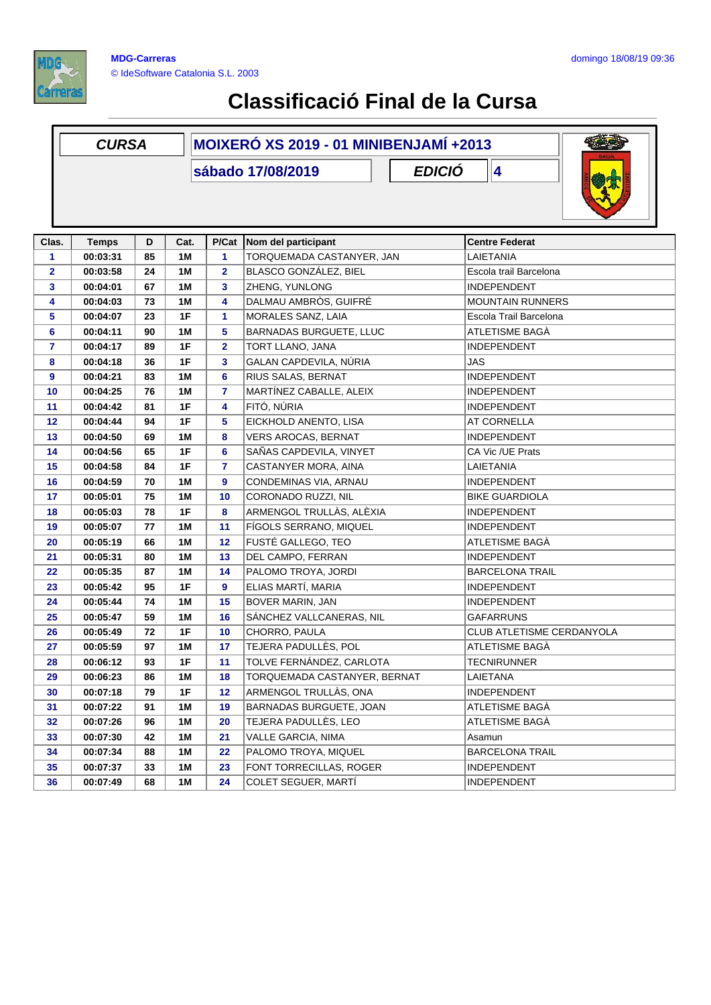

|                | <b>CURSA</b>             |         |            | MOIXERÓ XS 2019 - 01 MINIBENJAMÍ +2013 |                                                  |                                  |  |
|----------------|--------------------------|---------|------------|----------------------------------------|--------------------------------------------------|----------------------------------|--|
|                |                          |         |            |                                        | <b>EDICIÓ</b><br>sábado 17/08/2019               | 4                                |  |
| Clas.          |                          |         |            |                                        |                                                  | <b>Centre Federat</b>            |  |
| 1              | <b>Temps</b><br>00:03:31 | D<br>85 | Cat.<br>1M | P/Cat<br>1                             | Nom del participant<br>TORQUEMADA CASTANYER, JAN | LAIETANIA                        |  |
| $\mathbf{2}$   | 00:03:58                 | 24      | 1M         | $\overline{\mathbf{2}}$                | BLASCO GONZÁLEZ, BIEL                            | Escola trail Barcelona           |  |
| 3              | 00:04:01                 | 67      | 1M         | 3                                      | ZHENG, YUNLONG                                   | <b>INDEPENDENT</b>               |  |
| 4              | 00:04:03                 | 73      | 1M         | 4                                      | DALMAU AMBRÒS, GUIFRÉ                            | <b>MOUNTAIN RUNNERS</b>          |  |
| 5              | 00:04:07                 | 23      | 1F         | 1                                      | MORALES SANZ, LAIA                               | Escola Trail Barcelona           |  |
| 6              | 00:04:11                 | 90      | 1M         | 5                                      | BARNADAS BURGUETE, LLUC                          | ATLETISME BAGÀ                   |  |
| $\overline{7}$ | 00:04:17                 | 89      | 1F         | $\overline{\mathbf{2}}$                | TORT LLANO, JANA                                 | <b>INDEPENDENT</b>               |  |
| 8              | 00:04:18                 | 36      | 1F         | 3                                      | GALAN CAPDEVILA, NÚRIA                           | <b>JAS</b>                       |  |
| 9              | 00:04:21                 | 83      | 1M         | 6                                      | RIUS SALAS, BERNAT                               | <b>INDEPENDENT</b>               |  |
| 10             | 00:04:25                 | 76      | 1M         | $\overline{7}$                         | MARTÍNEZ CABALLE, ALEIX                          | <b>INDEPENDENT</b>               |  |
| 11             | 00:04:42                 | 81      | 1F         | 4                                      | FITÓ, NÚRIA                                      | <b>INDEPENDENT</b>               |  |
| 12             | 00:04:44                 | 94      | 1F         | 5                                      | EICKHOLD ANENTO, LISA                            | <b>AT CORNELLA</b>               |  |
| 13             | 00:04:50                 | 69      | 1M         | 8                                      | <b>VERS AROCAS, BERNAT</b>                       | <b>INDEPENDENT</b>               |  |
| 14             | 00:04:56                 | 65      | 1F         | 6                                      | SAÑAS CAPDEVILA, VINYET                          | CA Vic /UE Prats                 |  |
| 15             | 00:04:58                 | 84      | 1F         | 7                                      | CASTANYER MORA, AINA                             | LAIETANIA                        |  |
| 16             | 00:04:59                 | 70      | 1M         | 9                                      | CONDEMINAS VIA, ARNAU                            | <b>INDEPENDENT</b>               |  |
| 17             | 00:05:01                 | 75      | 1 M        | 10                                     | CORONADO RUZZI, NIL                              | <b>BIKE GUARDIOLA</b>            |  |
| 18             | 00:05:03                 | 78      | 1F         | 8                                      | ARMENGOL TRULLÀS, ALÈXIA                         | <b>INDEPENDENT</b>               |  |
| 19             | 00:05:07                 | 77      | 1M         | 11                                     | FÍGOLS SERRANO, MIQUEL                           | <b>INDEPENDENT</b>               |  |
| 20             | 00:05:19                 | 66      | <b>1M</b>  | 12                                     | FUSTÉ GALLEGO, TEO                               | ATLETISME BAGÀ                   |  |
| 21             | 00:05:31                 | 80      | 1M         | 13                                     | DEL CAMPO, FERRAN                                | <b>INDEPENDENT</b>               |  |
| 22             | 00:05:35                 | 87      | 1M         | 14                                     | PALOMO TROYA, JORDI                              | <b>BARCELONA TRAIL</b>           |  |
| 23             | 00:05:42                 | 95      | 1F         | 9                                      | ELIAS MARTÍ, MARIA                               | <b>INDEPENDENT</b>               |  |
| 24             | 00:05:44                 | 74      | 1M         | 15                                     | BOVER MARIN, JAN                                 | <b>INDEPENDENT</b>               |  |
| 25             | 00:05:47                 | 59      | 1M         | 16                                     | SÁNCHEZ VALLCANERAS, NIL                         | <b>GAFARRUNS</b>                 |  |
| 26             | 00:05:49                 | 72      | 1F         | 10                                     | CHORRO, PAULA                                    | <b>CLUB ATLETISME CERDANYOLA</b> |  |
| 27             | 00:05:59                 | 97      | 1 M        | 17                                     | TEJERA PADULLÈS, POL                             | ATLETISME BAGÀ                   |  |
| 28             | 00:06:12                 | 93      | 1F         | 11                                     | TOLVE FERNÁNDEZ, CARLOTA                         | <b>TECNIRUNNER</b>               |  |
| 29             | 00:06:23                 | 86      | 1M         | 18                                     | TORQUEMADA CASTANYER, BERNAT                     | LAIETANA                         |  |
| 30             | 00:07:18                 | 79      | 1F         | 12                                     | ARMENGOL TRULLÀS, ONA                            | <b>INDEPENDENT</b>               |  |
| 31             | 00:07:22                 | 91      | 1M         | 19                                     | BARNADAS BURGUETE, JOAN                          | ATLETISME BAGÀ                   |  |
| 32             | 00:07:26                 | 96      | 1 M        | 20                                     | TEJERA PADULLÈS, LEO                             | ATLETISME BAGÀ                   |  |
| 33             | 00:07:30                 | 42      | 1 M        | 21                                     | VALLE GARCIA, NIMA                               | Asamun                           |  |
| 34             | 00:07:34                 | 88      | 1 M        | 22                                     | PALOMO TROYA, MIQUEL                             | <b>BARCELONA TRAIL</b>           |  |
| 35             | 00:07:37                 | 33      | 1M         | 23                                     | FONT TORRECILLAS, ROGER                          | <b>INDEPENDENT</b>               |  |
| 36             | 00:07:49                 | 68      | 1 M        | 24                                     | COLET SEGUER, MARTÍ                              | <b>INDEPENDENT</b>               |  |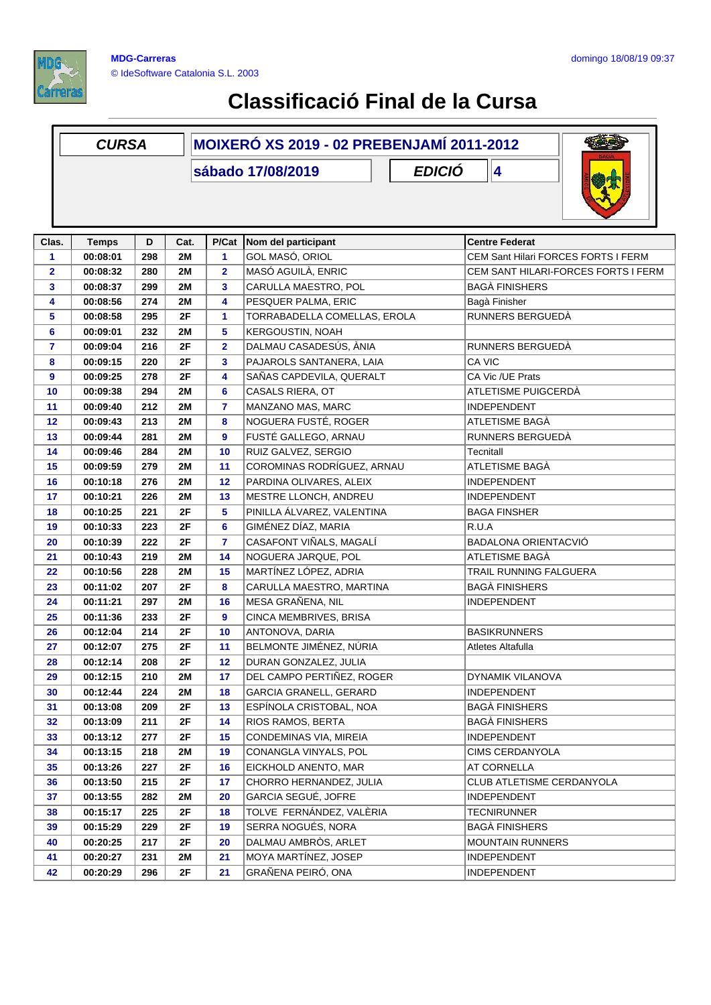

|                | <b>CURSA</b> |     |           | <b>MOIXERÓ XS 2019 - 02 PREBENJAMÍ 2011-2012</b> |                                    |                                     |  |  |
|----------------|--------------|-----|-----------|--------------------------------------------------|------------------------------------|-------------------------------------|--|--|
|                |              |     |           |                                                  | <b>EDICIÓ</b><br>sábado 17/08/2019 | 4                                   |  |  |
|                |              |     |           |                                                  |                                    |                                     |  |  |
|                |              |     |           |                                                  |                                    |                                     |  |  |
|                |              |     |           |                                                  |                                    |                                     |  |  |
| Clas.          | <b>Temps</b> | D   | Cat.      | P/Cat                                            | Nom del participant                | <b>Centre Federat</b>               |  |  |
| 1              | 00:08:01     | 298 | 2M        | 1                                                | GOL MASÓ, ORIOL                    | CEM Sant Hilari FORCES FORTS I FERM |  |  |
| $\overline{2}$ | 00:08:32     | 280 | 2M        | $\overline{2}$                                   | MASÓ AGUILÀ, ENRIC                 | CEM SANT HILARI-FORCES FORTS I FERM |  |  |
| 3              | 00:08:37     | 299 | <b>2M</b> | 3                                                | CARULLA MAESTRO, POL               | <b>BAGÀ FINISHERS</b>               |  |  |
| 4              | 00:08:56     | 274 | 2M        | 4                                                | PESQUER PALMA, ERIC                | Bagà Finisher                       |  |  |
| 5              | 00:08:58     | 295 | 2F        | 1                                                | TORRABADELLA COMELLAS, EROLA       | RUNNERS BERGUEDÀ                    |  |  |
| 6              | 00:09:01     | 232 | 2M        | 5                                                | KERGOUSTIN, NOAH                   |                                     |  |  |
| $\overline{7}$ | 00:09:04     | 216 | 2F        | $\overline{2}$                                   | DALMAU CASADESÚS, ÀNIA             | RUNNERS BERGUEDA                    |  |  |
| 8              | 00:09:15     | 220 | 2F        | 3                                                | PAJAROLS SANTANERA, LAIA           | CA VIC                              |  |  |
| 9              | 00:09:25     | 278 | 2F        | 4                                                | SAÑAS CAPDEVILA, QUERALT           | CA Vic /UE Prats                    |  |  |
| 10             | 00:09:38     | 294 | <b>2M</b> | 6                                                | CASALS RIERA, OT                   | ATLETISME PUIGCERDÀ                 |  |  |
| 11             | 00:09:40     | 212 | 2M        | 7                                                | MANZANO MAS, MARC                  | <b>INDEPENDENT</b>                  |  |  |
| 12             | 00:09:43     | 213 | 2M        | 8                                                | NOGUERA FUSTÉ, ROGER               | ATLETISME BAGÀ                      |  |  |
| 13             | 00:09:44     | 281 | 2M        | 9                                                | FUSTÉ GALLEGO, ARNAU               | RUNNERS BERGUEDÀ                    |  |  |
| 14             | 00:09:46     | 284 | 2M        | 10                                               | RUIZ GALVEZ, SERGIO                | Tecnitall                           |  |  |
| 15             | 00:09:59     | 279 | <b>2M</b> | 11                                               | COROMINAS RODRÍGUEZ, ARNAU         | ATLETISME BAGÀ                      |  |  |
| 16             | 00:10:18     | 276 | 2M        | 12                                               | PARDINA OLIVARES, ALEIX            | <b>INDEPENDENT</b>                  |  |  |
| 17             | 00:10:21     | 226 | 2M        | 13                                               | MESTRE LLONCH, ANDREU              | <b>INDEPENDENT</b>                  |  |  |
| 18             | 00:10:25     | 221 | 2F        | 5                                                | PINILLA ÁLVAREZ, VALENTINA         | <b>BAGA FINSHER</b>                 |  |  |
| 19             | 00:10:33     | 223 | 2F        | 6                                                | GIMÉNEZ DÍAZ, MARIA                | R.U.A                               |  |  |
| 20             | 00:10:39     | 222 | 2F        | 7                                                | CASAFONT VIÑALS, MAGALÍ            | BADALONA ORIENTACVIÓ                |  |  |
| 21             | 00:10:43     | 219 | 2M        | 14                                               | NOGUERA JARQUE, POL                | ATLETISME BAGÀ                      |  |  |
| 22             | 00:10:56     | 228 | 2M        | 15                                               | MARTÍNEZ LÓPEZ, ADRIA              | TRAIL RUNNING FALGUERA              |  |  |
| 23             | 00:11:02     | 207 | 2F        | 8                                                | CARULLA MAESTRO, MARTINA           | <b>BAGÀ FINISHERS</b>               |  |  |
| 24             | 00:11:21     | 297 | 2M        | 16                                               | MESA GRAÑENA, NIL                  | <b>INDEPENDENT</b>                  |  |  |
| 25             | 00:11:36     | 233 | 2F        | 9                                                | CINCA MEMBRIVES, BRISA             |                                     |  |  |
| 26             | 00:12:04     | 214 | 2F        | 10                                               | ANTONOVA, DARIA                    | <b>BASIKRUNNERS</b>                 |  |  |
| 27             | 00:12:07     | 275 | 2F        | 11                                               | BELMONTE JIMÉNEZ, NÚRIA            | Atletes Altafulla                   |  |  |
| 28             | 00:12:14     | 208 | 2F        | 12                                               | DURAN GONZALEZ, JULIA              |                                     |  |  |
| 29             | 00:12:15     | 210 | 2M        | 17                                               | DEL CAMPO PERTIÑEZ, ROGER          | DYNAMIK VILANOVA                    |  |  |
| 30             | 00:12:44     | 224 | 2M        | 18                                               | <b>GARCIA GRANELL, GERARD</b>      | <b>INDEPENDENT</b>                  |  |  |
| 31             | 00:13:08     | 209 | 2F        | 13                                               | ESPÍNOLA CRISTOBAL, NOA            | <b>BAGÀ FINISHERS</b>               |  |  |
| 32             | 00:13:09     | 211 | 2F        | 14                                               | RIOS RAMOS, BERTA                  | <b>BAGÀ FINISHERS</b>               |  |  |
| 33             | 00:13:12     | 277 | 2F        | 15                                               | CONDEMINAS VIA, MIREIA             | <b>INDEPENDENT</b>                  |  |  |
| 34             | 00:13:15     | 218 | 2M        | 19                                               | CONANGLA VINYALS, POL              | CIMS CERDANYOLA                     |  |  |
| 35             | 00:13:26     | 227 | 2F        | 16                                               | EICKHOLD ANENTO, MAR               | AT CORNELLA                         |  |  |
| 36             | 00:13:50     | 215 | 2F        | 17                                               | CHORRO HERNANDEZ, JULIA            | CLUB ATLETISME CERDANYOLA           |  |  |
| 37             | 00:13:55     | 282 | <b>2M</b> | 20                                               | GARCIA SEGUÉ, JOFRE                | <b>INDEPENDENT</b>                  |  |  |
| 38             | 00:15:17     | 225 | 2F        | 18                                               | TOLVE FERNÁNDEZ, VALÈRIA           | <b>TECNIRUNNER</b>                  |  |  |
| 39             | 00:15:29     | 229 | 2F        | 19                                               | SERRA NOGUÉS, NORA                 | <b>BAGÀ FINISHERS</b>               |  |  |
| 40             | 00:20:25     | 217 | 2F        | 20                                               | DALMAU AMBRÒS, ARLET               | <b>MOUNTAIN RUNNERS</b>             |  |  |
| 41             | 00:20:27     | 231 | <b>2M</b> | 21                                               | MOYA MARTÍNEZ, JOSEP               | <b>INDEPENDENT</b>                  |  |  |
| 42             | 00:20:29     | 296 | 2F        | 21                                               | GRAÑENA PEIRÓ, ONA                 | INDEPENDENT                         |  |  |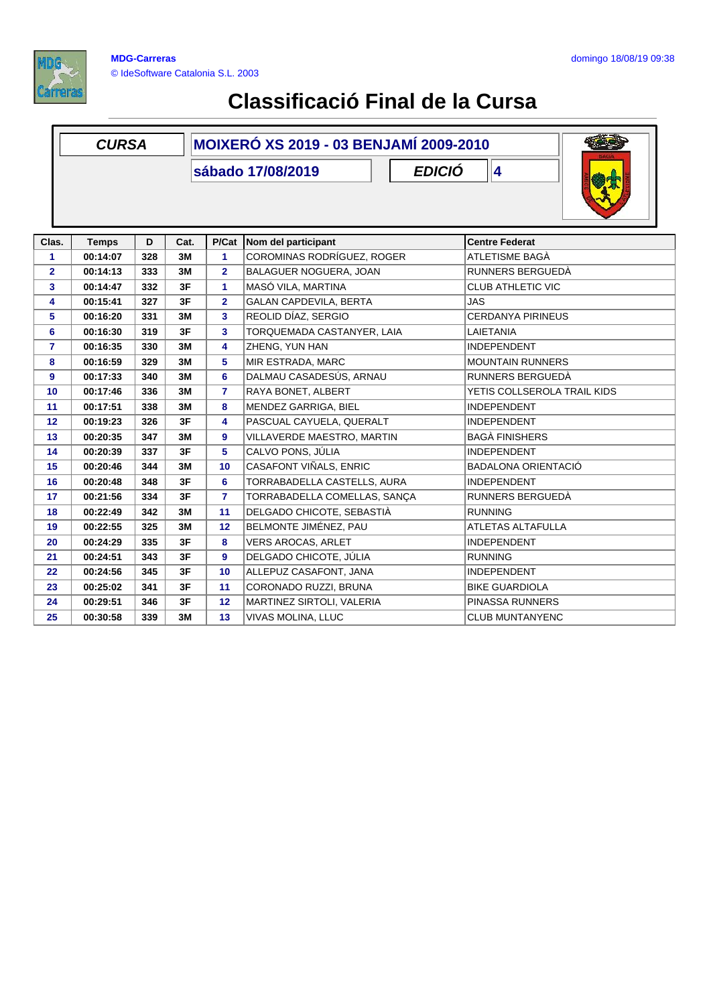

|                | <b>CURSA</b> |     |      | <b>MOIXERÓ XS 2019 - 03 BENJAMÍ 2009-2010</b> |                                    |                             |  |  |
|----------------|--------------|-----|------|-----------------------------------------------|------------------------------------|-----------------------------|--|--|
|                |              |     |      |                                               | <b>EDICIÓ</b><br>sábado 17/08/2019 | 4                           |  |  |
|                |              |     |      |                                               |                                    |                             |  |  |
|                |              |     |      |                                               |                                    |                             |  |  |
|                |              |     |      |                                               |                                    |                             |  |  |
| Clas.          | <b>Temps</b> | D   | Cat. | P/Cat                                         | Nom del participant                | <b>Centre Federat</b>       |  |  |
| 1              | 00:14:07     | 328 | 3M   | 1                                             | COROMINAS RODRÍGUEZ, ROGER         | ATLETISME BAGÀ              |  |  |
| $\overline{2}$ | 00:14:13     | 333 | 3M   | $\overline{2}$                                | BALAGUER NOGUERA, JOAN             | RUNNERS BERGUEDÀ            |  |  |
| 3              | 00:14:47     | 332 | 3F   | $\mathbf{1}$                                  | MASÓ VILA, MARTINA                 | <b>CLUB ATHLETIC VIC</b>    |  |  |
| 4              | 00:15:41     | 327 | 3F   | $\overline{2}$                                | <b>GALAN CAPDEVILA, BERTA</b>      | <b>JAS</b>                  |  |  |
| 5              | 00:16:20     | 331 | 3M   | 3                                             | REOLID DÍAZ, SERGIO                | <b>CERDANYA PIRINEUS</b>    |  |  |
| 6              | 00:16:30     | 319 | 3F   | 3                                             | TORQUEMADA CASTANYER, LAIA         | LAIETANIA                   |  |  |
| 7              | 00:16:35     | 330 | 3M   | 4                                             | ZHENG, YUN HAN                     | <b>INDEPENDENT</b>          |  |  |
| 8              | 00:16:59     | 329 | 3M   | 5                                             | MIR ESTRADA, MARC                  | <b>MOUNTAIN RUNNERS</b>     |  |  |
| 9              | 00:17:33     | 340 | 3M   | 6                                             | DALMAU CASADESÚS, ARNAU            | RUNNERS BERGUEDÀ            |  |  |
| 10             | 00:17:46     | 336 | 3M   | $\overline{7}$                                | RAYA BONET, ALBERT                 | YETIS COLLSEROLA TRAIL KIDS |  |  |
| 11             | 00:17:51     | 338 | 3M   | 8                                             | MENDEZ GARRIGA, BIEL               | <b>INDEPENDENT</b>          |  |  |
| 12             | 00:19:23     | 326 | 3F   | 4                                             | PASCUAL CAYUELA, QUERALT           | <b>INDEPENDENT</b>          |  |  |
| 13             | 00:20:35     | 347 | 3M   | 9                                             | VILLAVERDE MAESTRO, MARTIN         | <b>BAGÀ FINISHERS</b>       |  |  |
| 14             | 00:20:39     | 337 | 3F   | 5                                             | CALVO PONS, JÚLIA                  | <b>INDEPENDENT</b>          |  |  |
| 15             | 00:20:46     | 344 | 3M   | 10                                            | CASAFONT VIÑALS, ENRIC             | <b>BADALONA ORIENTACIÓ</b>  |  |  |
| 16             | 00:20:48     | 348 | 3F   | 6                                             | TORRABADELLA CASTELLS, AURA        | <b>INDEPENDENT</b>          |  |  |
| 17             | 00:21:56     | 334 | 3F   | $\overline{7}$                                | TORRABADELLA COMELLAS, SANÇA       | RUNNERS BERGUEDÀ            |  |  |
| 18             | 00:22:49     | 342 | 3M   | 11                                            | DELGADO CHICOTE, SEBASTIÀ          | <b>RUNNING</b>              |  |  |
| 19             | 00:22:55     | 325 | 3M   | 12                                            | BELMONTE JIMÉNEZ, PAU              | <b>ATLETAS ALTAFULLA</b>    |  |  |
| 20             | 00:24:29     | 335 | 3F   | 8                                             | <b>VERS AROCAS, ARLET</b>          | <b>INDEPENDENT</b>          |  |  |
| 21             | 00:24:51     | 343 | 3F   | 9                                             | DELGADO CHICOTE, JÚLIA             | <b>RUNNING</b>              |  |  |
| 22             | 00:24:56     | 345 | 3F   | 10                                            | ALLEPUZ CASAFONT, JANA             | <b>INDEPENDENT</b>          |  |  |
| 23             | 00:25:02     | 341 | 3F   | 11                                            | CORONADO RUZZI, BRUNA              | <b>BIKE GUARDIOLA</b>       |  |  |
| 24             | 00:29:51     | 346 | 3F   | 12                                            | MARTINEZ SIRTOLI, VALERIA          | PINASSA RUNNERS             |  |  |
| 25             | 00:30:58     | 339 | 3M   | 13                                            | VIVAS MOLINA, LLUC                 | <b>CLUB MUNTANYENC</b>      |  |  |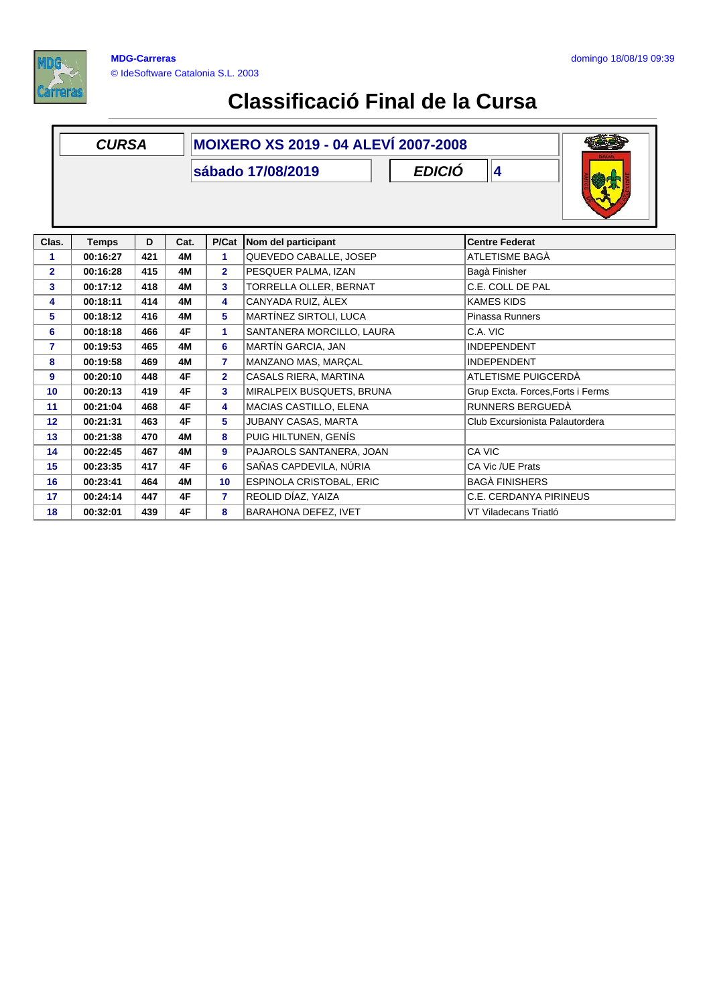

|                 | <b>CURSA</b> |     |      | <b>MOIXERO XS 2019 - 04 ALEVÍ 2007-2008</b> |                                    |                                   |  |  |  |  |
|-----------------|--------------|-----|------|---------------------------------------------|------------------------------------|-----------------------------------|--|--|--|--|
|                 |              |     |      |                                             |                                    |                                   |  |  |  |  |
|                 |              |     |      |                                             | <b>EDICIÓ</b><br>sábado 17/08/2019 | 4                                 |  |  |  |  |
|                 |              |     |      |                                             |                                    |                                   |  |  |  |  |
|                 |              |     |      |                                             |                                    |                                   |  |  |  |  |
|                 |              |     |      |                                             |                                    |                                   |  |  |  |  |
| Clas.           | <b>Temps</b> | D   | Cat. | P/Cat                                       | Nom del participant                | <b>Centre Federat</b>             |  |  |  |  |
| 1               | 00:16:27     | 421 | 4M   | 1                                           | QUEVEDO CABALLE, JOSEP             | ATLETISME BAGÀ                    |  |  |  |  |
| $\overline{2}$  | 00:16:28     | 415 | 4M   | $\overline{2}$                              | PESQUER PALMA, IZAN                | Bagà Finisher                     |  |  |  |  |
| 3               | 00:17:12     | 418 | 4M   | $\mathbf{3}$                                | TORRELLA OLLER, BERNAT             | C.E. COLL DE PAL                  |  |  |  |  |
| 4               | 00:18:11     | 414 | 4M   | 4                                           | CANYADA RUIZ. ÀLEX                 | <b>KAMES KIDS</b>                 |  |  |  |  |
| 5               | 00:18:12     | 416 | 4M   | 5                                           | MARTÍNEZ SIRTOLI, LUCA             | Pinassa Runners                   |  |  |  |  |
| 6               | 00:18:18     | 466 | 4F   | 1                                           | SANTANERA MORCILLO, LAURA          | C.A. VIC                          |  |  |  |  |
| 7               | 00:19:53     | 465 | 4M   | 6                                           | MARTÍN GARCIA, JAN                 | <b>INDEPENDENT</b>                |  |  |  |  |
| 8               | 00:19:58     | 469 | 4M   | $\overline{7}$                              | MANZANO MAS, MARÇAL                | <b>INDEPENDENT</b>                |  |  |  |  |
| 9               | 00:20:10     | 448 | 4F   | $\overline{2}$                              | CASALS RIERA, MARTINA              | ATLETISME PUIGCERDÀ               |  |  |  |  |
| 10              | 00:20:13     | 419 | 4F   | $\mathbf{3}$                                | MIRALPEIX BUSQUETS, BRUNA          | Grup Excta. Forces, Forts i Ferms |  |  |  |  |
| 11              | 00:21:04     | 468 | 4F   | 4                                           | MACIAS CASTILLO, ELENA             | RUNNERS BERGUEDÀ                  |  |  |  |  |
| 12 <sup>2</sup> | 00:21:31     | 463 | 4F   | 5                                           | JUBANY CASAS, MARTA                | Club Excursionista Palautordera   |  |  |  |  |
| 13              | 00:21:38     | 470 | 4M   | 8                                           | PUIG HILTUNEN, GENÍS               |                                   |  |  |  |  |
| 14              | 00:22:45     | 467 | 4M   | 9                                           | PAJAROLS SANTANERA, JOAN           | CA VIC                            |  |  |  |  |
| 15              | 00:23:35     | 417 | 4F   | 6                                           | SAÑAS CAPDEVILA, NÚRIA             | CA Vic /UE Prats                  |  |  |  |  |
| 16              | 00:23:41     | 464 | 4M   | 10                                          | ESPINOLA CRISTOBAL, ERIC           | <b>BAGÀ FINISHERS</b>             |  |  |  |  |
| 17              | 00:24:14     | 447 | 4F   | $\overline{7}$                              | REOLID DÍAZ. YAIZA                 | C.E. CERDANYA PIRINEUS            |  |  |  |  |
| 18              | 00:32:01     | 439 | 4F   | 8                                           | <b>BARAHONA DEFEZ, IVET</b>        | VT Viladecans Triatló             |  |  |  |  |